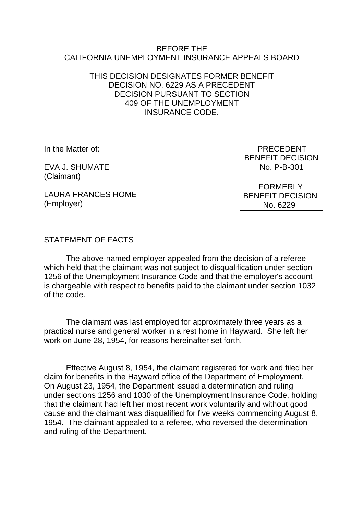#### BEFORE THE CALIFORNIA UNEMPLOYMENT INSURANCE APPEALS BOARD

## THIS DECISION DESIGNATES FORMER BENEFIT DECISION NO. 6229 AS A PRECEDENT DECISION PURSUANT TO SECTION 409 OF THE UNEMPLOYMENT INSURANCE CODE.

(Employer)

EVA J. SHUMATE NO. P-B-301 (Claimant)

In the Matter of: PRECEDENT BENEFIT DECISION

> FORMERLY BENEFIT DECISION No. 6229

LAURA FRANCES HOME

## STATEMENT OF FACTS

The above-named employer appealed from the decision of a referee which held that the claimant was not subject to disqualification under section 1256 of the Unemployment Insurance Code and that the employer's account is chargeable with respect to benefits paid to the claimant under section 1032 of the code.

The claimant was last employed for approximately three years as a practical nurse and general worker in a rest home in Hayward. She left her work on June 28, 1954, for reasons hereinafter set forth.

Effective August 8, 1954, the claimant registered for work and filed her claim for benefits in the Hayward office of the Department of Employment. On August 23, 1954, the Department issued a determination and ruling under sections 1256 and 1030 of the Unemployment Insurance Code, holding that the claimant had left her most recent work voluntarily and without good cause and the claimant was disqualified for five weeks commencing August 8, 1954. The claimant appealed to a referee, who reversed the determination and ruling of the Department.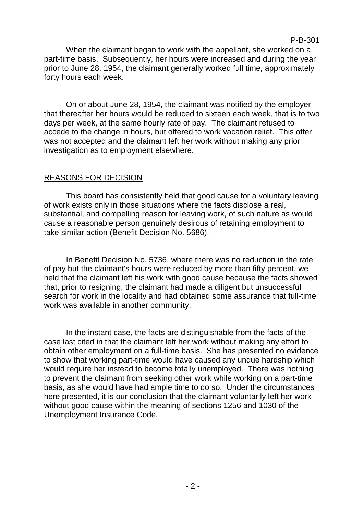## P-B-301

When the claimant began to work with the appellant, she worked on a part-time basis. Subsequently, her hours were increased and during the year prior to June 28, 1954, the claimant generally worked full time, approximately forty hours each week.

On or about June 28, 1954, the claimant was notified by the employer that thereafter her hours would be reduced to sixteen each week, that is to two days per week, at the same hourly rate of pay. The claimant refused to accede to the change in hours, but offered to work vacation relief. This offer was not accepted and the claimant left her work without making any prior investigation as to employment elsewhere.

# REASONS FOR DECISION

This board has consistently held that good cause for a voluntary leaving of work exists only in those situations where the facts disclose a real, substantial, and compelling reason for leaving work, of such nature as would cause a reasonable person genuinely desirous of retaining employment to take similar action (Benefit Decision No. 5686).

In Benefit Decision No. 5736, where there was no reduction in the rate of pay but the claimant's hours were reduced by more than fifty percent, we held that the claimant left his work with good cause because the facts showed that, prior to resigning, the claimant had made a diligent but unsuccessful search for work in the locality and had obtained some assurance that full-time work was available in another community.

In the instant case, the facts are distinguishable from the facts of the case last cited in that the claimant left her work without making any effort to obtain other employment on a full-time basis. She has presented no evidence to show that working part-time would have caused any undue hardship which would require her instead to become totally unemployed. There was nothing to prevent the claimant from seeking other work while working on a part-time basis, as she would have had ample time to do so. Under the circumstances here presented, it is our conclusion that the claimant voluntarily left her work without good cause within the meaning of sections 1256 and 1030 of the Unemployment Insurance Code.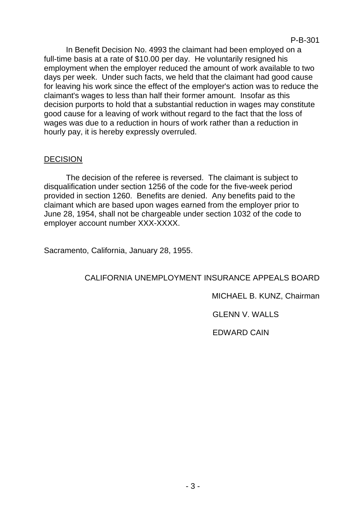In Benefit Decision No. 4993 the claimant had been employed on a full-time basis at a rate of \$10.00 per day. He voluntarily resigned his employment when the employer reduced the amount of work available to two days per week. Under such facts, we held that the claimant had good cause for leaving his work since the effect of the employer's action was to reduce the claimant's wages to less than half their former amount. Insofar as this decision purports to hold that a substantial reduction in wages may constitute good cause for a leaving of work without regard to the fact that the loss of wages was due to a reduction in hours of work rather than a reduction in hourly pay, it is hereby expressly overruled.

## DECISION

The decision of the referee is reversed. The claimant is subject to disqualification under section 1256 of the code for the five-week period provided in section 1260. Benefits are denied. Any benefits paid to the claimant which are based upon wages earned from the employer prior to June 28, 1954, shall not be chargeable under section 1032 of the code to employer account number XXX-XXXX.

Sacramento, California, January 28, 1955.

## CALIFORNIA UNEMPLOYMENT INSURANCE APPEALS BOARD

## MICHAEL B. KUNZ, Chairman

## GLENN V. WALLS

## EDWARD CAIN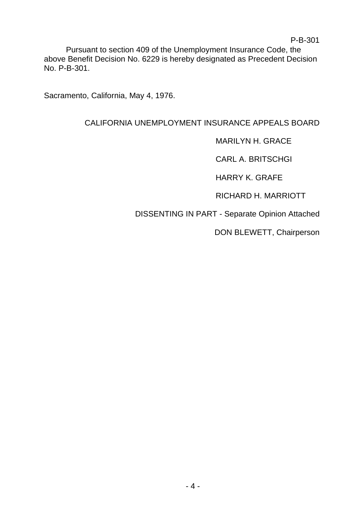Pursuant to section 409 of the Unemployment Insurance Code, the above Benefit Decision No. 6229 is hereby designated as Precedent Decision No. P-B-301.

Sacramento, California, May 4, 1976.

# CALIFORNIA UNEMPLOYMENT INSURANCE APPEALS BOARD

MARILYN H. GRACE

CARL A. BRITSCHGI

HARRY K. GRAFE

RICHARD H. MARRIOTT

DISSENTING IN PART - Separate Opinion Attached

DON BLEWETT, Chairperson